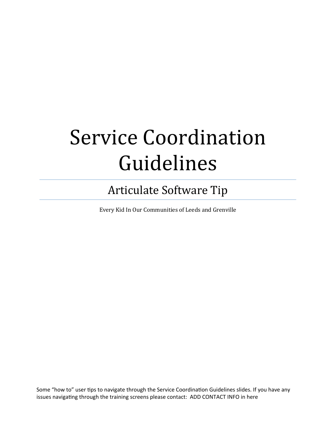## **Service Coordination** Guidelines

## Articulate Software Tip

Every Kid In Our Communities of Leeds and Grenville

Some "how to" user tips to navigate through the Service Coordination Guidelines slides. If you have any issues navigating through the training screens please contact: ADD CONTACT INFO in here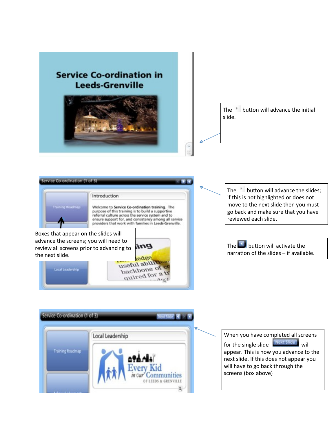



quired for a

The button will advance the slides; if this is not highlighted or does not move to the next slide then you must go back and make sure that you have reviewed each slide.



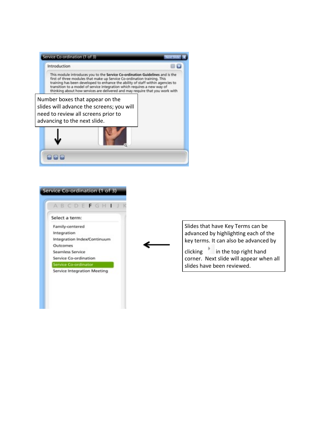



Slides that have Key Terms can be advanced by highlighting each of the key terms. It can also be advanced by

clicking in the top right hand corner. Next slide will appear when all slides have been reviewed.